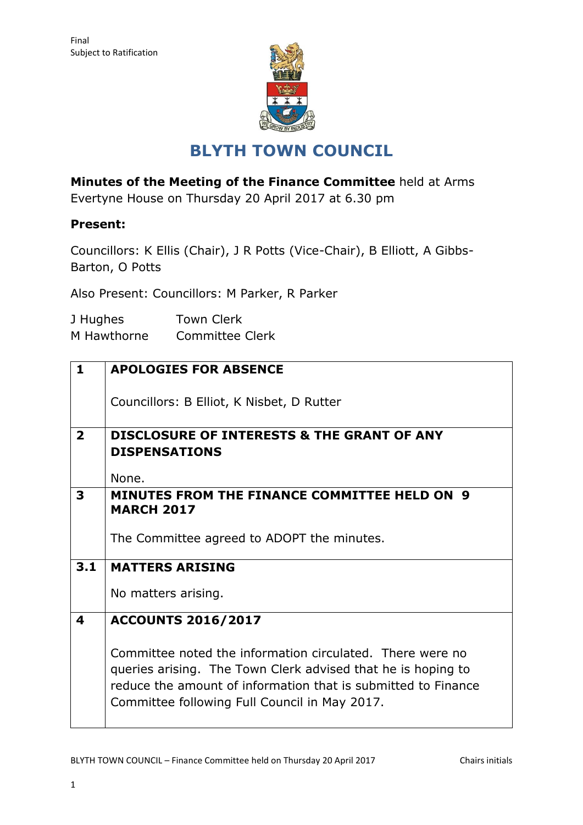

# **BLYTH TOWN COUNCIL**

**Minutes of the Meeting of the Finance Committee** held at Arms Evertyne House on Thursday 20 April 2017 at 6.30 pm

## **Present:**

Councillors: K Ellis (Chair), J R Potts (Vice-Chair), B Elliott, A Gibbs-Barton, O Potts

Also Present: Councillors: M Parker, R Parker

| J Hughes    | <b>Town Clerk</b>      |
|-------------|------------------------|
| M Hawthorne | <b>Committee Clerk</b> |

| $\mathbf 1$                                               | <b>APOLOGIES FOR ABSENCE</b>                                  |  |  |  |  |  |
|-----------------------------------------------------------|---------------------------------------------------------------|--|--|--|--|--|
|                                                           |                                                               |  |  |  |  |  |
|                                                           | Councillors: B Elliot, K Nisbet, D Rutter                     |  |  |  |  |  |
|                                                           |                                                               |  |  |  |  |  |
| $\overline{2}$                                            | <b>DISCLOSURE OF INTERESTS &amp; THE GRANT OF ANY</b>         |  |  |  |  |  |
|                                                           | <b>DISPENSATIONS</b>                                          |  |  |  |  |  |
|                                                           |                                                               |  |  |  |  |  |
|                                                           | None.                                                         |  |  |  |  |  |
| 3                                                         | <b>MINUTES FROM THE FINANCE COMMITTEE HELD ON 9</b>           |  |  |  |  |  |
|                                                           | <b>MARCH 2017</b>                                             |  |  |  |  |  |
|                                                           | The Committee agreed to ADOPT the minutes.                    |  |  |  |  |  |
|                                                           |                                                               |  |  |  |  |  |
| 3.1                                                       | <b>MATTERS ARISING</b>                                        |  |  |  |  |  |
|                                                           |                                                               |  |  |  |  |  |
|                                                           | No matters arising.                                           |  |  |  |  |  |
| 4                                                         | <b>ACCOUNTS 2016/2017</b>                                     |  |  |  |  |  |
|                                                           |                                                               |  |  |  |  |  |
| Committee noted the information circulated. There were no |                                                               |  |  |  |  |  |
|                                                           | queries arising. The Town Clerk advised that he is hoping to  |  |  |  |  |  |
|                                                           | reduce the amount of information that is submitted to Finance |  |  |  |  |  |
|                                                           | Committee following Full Council in May 2017.                 |  |  |  |  |  |
|                                                           |                                                               |  |  |  |  |  |
|                                                           |                                                               |  |  |  |  |  |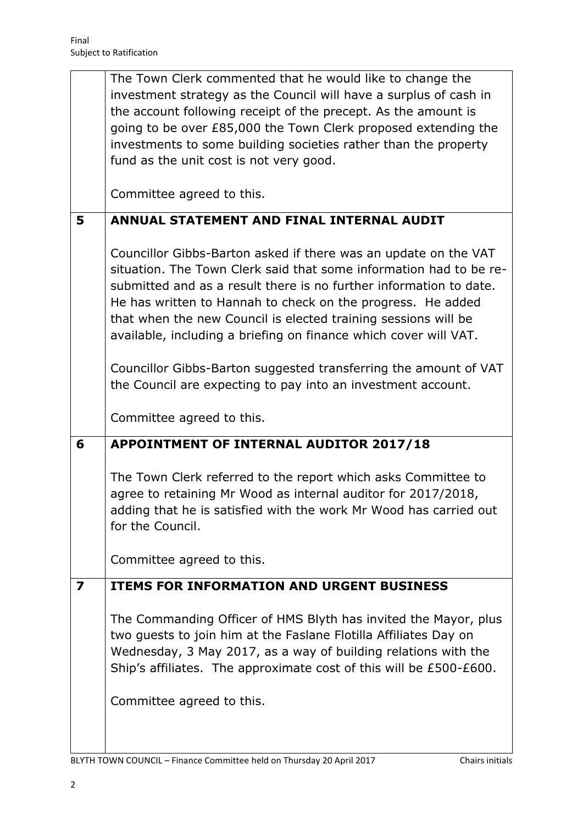|                         | The Town Clerk commented that he would like to change the                                                                                                                                                                                                                                                                                                                                                        |  |  |  |  |  |
|-------------------------|------------------------------------------------------------------------------------------------------------------------------------------------------------------------------------------------------------------------------------------------------------------------------------------------------------------------------------------------------------------------------------------------------------------|--|--|--|--|--|
|                         | investment strategy as the Council will have a surplus of cash in                                                                                                                                                                                                                                                                                                                                                |  |  |  |  |  |
|                         | the account following receipt of the precept. As the amount is                                                                                                                                                                                                                                                                                                                                                   |  |  |  |  |  |
|                         | going to be over £85,000 the Town Clerk proposed extending the                                                                                                                                                                                                                                                                                                                                                   |  |  |  |  |  |
|                         | investments to some building societies rather than the property                                                                                                                                                                                                                                                                                                                                                  |  |  |  |  |  |
|                         | fund as the unit cost is not very good.                                                                                                                                                                                                                                                                                                                                                                          |  |  |  |  |  |
|                         | Committee agreed to this.                                                                                                                                                                                                                                                                                                                                                                                        |  |  |  |  |  |
| 5                       | ANNUAL STATEMENT AND FINAL INTERNAL AUDIT                                                                                                                                                                                                                                                                                                                                                                        |  |  |  |  |  |
|                         | Councillor Gibbs-Barton asked if there was an update on the VAT<br>situation. The Town Clerk said that some information had to be re-<br>submitted and as a result there is no further information to date.<br>He has written to Hannah to check on the progress. He added<br>that when the new Council is elected training sessions will be<br>available, including a briefing on finance which cover will VAT. |  |  |  |  |  |
|                         | Councillor Gibbs-Barton suggested transferring the amount of VAT<br>the Council are expecting to pay into an investment account.                                                                                                                                                                                                                                                                                 |  |  |  |  |  |
|                         | Committee agreed to this.                                                                                                                                                                                                                                                                                                                                                                                        |  |  |  |  |  |
|                         |                                                                                                                                                                                                                                                                                                                                                                                                                  |  |  |  |  |  |
| 6                       | APPOINTMENT OF INTERNAL AUDITOR 2017/18                                                                                                                                                                                                                                                                                                                                                                          |  |  |  |  |  |
|                         | The Town Clerk referred to the report which asks Committee to<br>agree to retaining Mr Wood as internal auditor for 2017/2018,<br>adding that he is satisfied with the work Mr Wood has carried out<br>for the Council.                                                                                                                                                                                          |  |  |  |  |  |
|                         | Committee agreed to this.                                                                                                                                                                                                                                                                                                                                                                                        |  |  |  |  |  |
| $\overline{\mathbf{z}}$ | <b>ITEMS FOR INFORMATION AND URGENT BUSINESS</b>                                                                                                                                                                                                                                                                                                                                                                 |  |  |  |  |  |
|                         | The Commanding Officer of HMS Blyth has invited the Mayor, plus<br>two guests to join him at the Faslane Flotilla Affiliates Day on<br>Wednesday, 3 May 2017, as a way of building relations with the<br>Ship's affiliates. The approximate cost of this will be £500-£600.<br>Committee agreed to this.                                                                                                         |  |  |  |  |  |

BLYTH TOWN COUNCIL – Finance Committee held on Thursday 20 April 2017 Chairs initials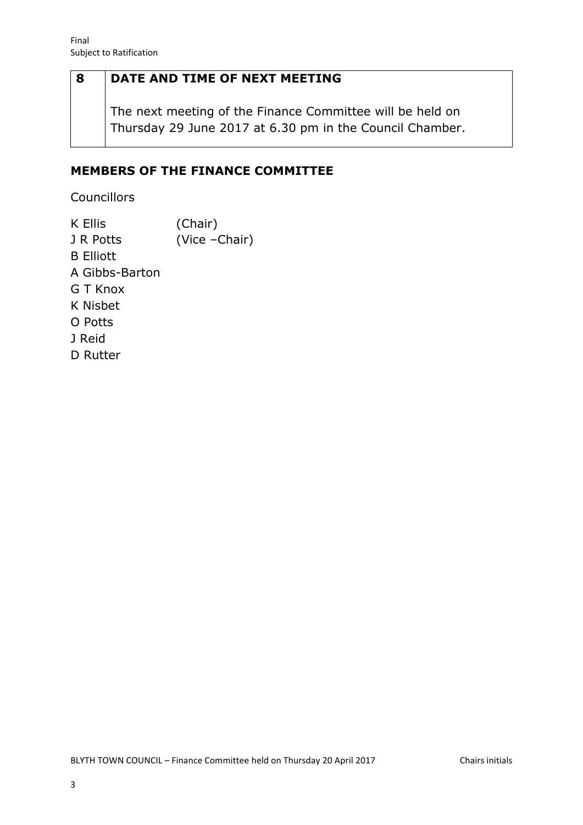## **8 DATE AND TIME OF NEXT MEETING**

The next meeting of the Finance Committee will be held on Thursday 29 June 2017 at 6.30 pm in the Council Chamber.

### **MEMBERS OF THE FINANCE COMMITTEE**

Councillors

K Ellis (Chair) J R Potts (Vice –Chair) B Elliott A Gibbs-Barton G T Knox K Nisbet O Potts J Reid D Rutter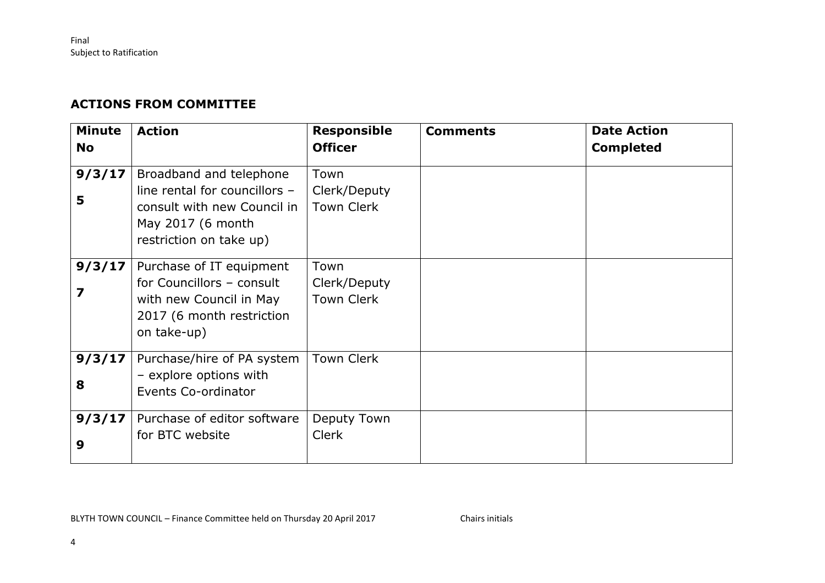### **ACTIONS FROM COMMITTEE**

| <b>Minute</b><br><b>No</b> | <b>Action</b>                                                                                                                           | <b>Responsible</b><br><b>Officer</b>      | <b>Comments</b> | <b>Date Action</b><br><b>Completed</b> |
|----------------------------|-----------------------------------------------------------------------------------------------------------------------------------------|-------------------------------------------|-----------------|----------------------------------------|
| 9/3/17<br>5                | Broadband and telephone<br>line rental for councillors -<br>consult with new Council in<br>May 2017 (6 month<br>restriction on take up) | Town<br>Clerk/Deputy<br><b>Town Clerk</b> |                 |                                        |
| 9/3/17                     | Purchase of IT equipment<br>for Councillors - consult<br>with new Council in May<br>2017 (6 month restriction<br>on take-up)            | Town<br>Clerk/Deputy<br><b>Town Clerk</b> |                 |                                        |
| 9/3/17<br>8                | Purchase/hire of PA system<br>- explore options with<br>Events Co-ordinator                                                             | <b>Town Clerk</b>                         |                 |                                        |
| 9/3/17<br>9                | Purchase of editor software<br>for BTC website                                                                                          | Deputy Town<br><b>Clerk</b>               |                 |                                        |

BLYTH TOWN COUNCIL – Finance Committee held on Thursday 20 April 2017 Chairs initials